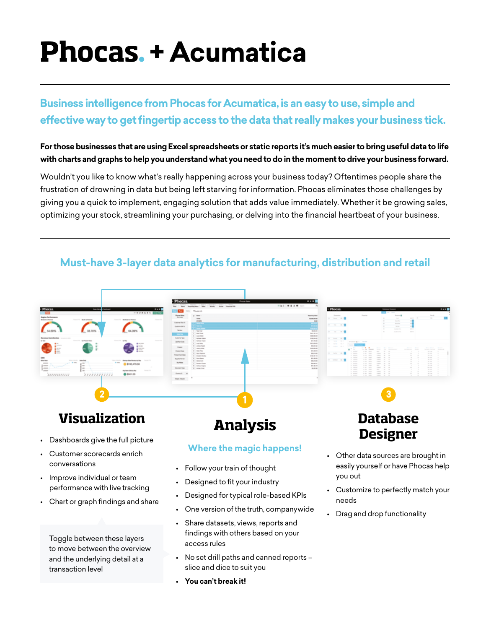# **Phocas**. **+ Acumatica**

## **Business intelligence from Phocas for Acumatica, is an easy to use, simple and effective way to get fingertip access to the data that really makes your business tick.**

#### **For those businesses that are using Excel spreadsheets or static reports it's much easier to bring useful data to life with charts and graphs to help you understand what you need to do in the moment to drive your business forward.**

Wouldn't you like to know what's really happening across your business today? Oftentimes people share the frustration of drowning in data but being left starving for information. Phocas eliminates those challenges by giving you a quick to implement, engaging solution that adds value immediately. Whether it be growing sales, optimizing your stock, streamlining your purchasing, or delving into the financial heartbeat of your business.

### **Must-have 3-layer data analytics for manufacturing, distribution and retail**



**• You can't break it!**